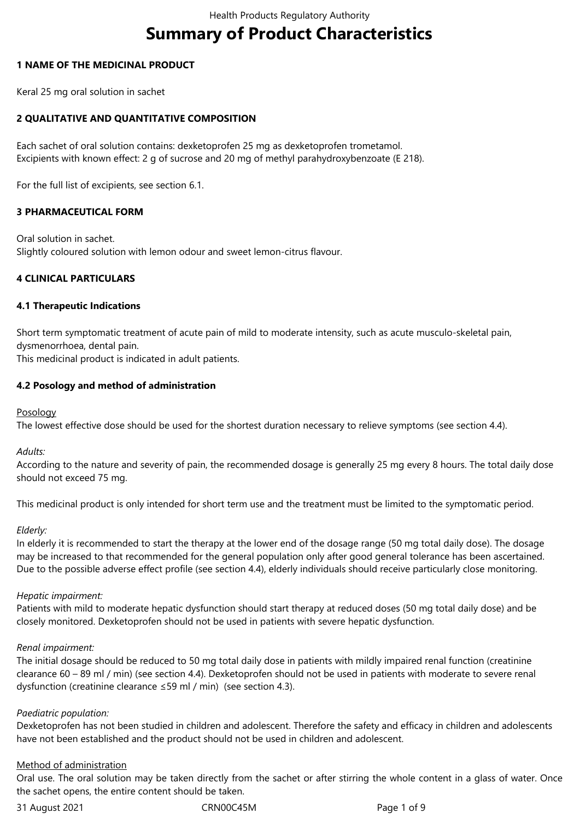# **Summary of Product Characteristics**

## **1 NAME OF THE MEDICINAL PRODUCT**

Keral 25 mg oral solution in sachet

# **2 QUALITATIVE AND QUANTITATIVE COMPOSITION**

Each sachet of oral solution contains: dexketoprofen 25 mg as dexketoprofen trometamol. Excipients with known effect: 2 g of sucrose and 20 mg of methyl parahydroxybenzoate (E 218).

For the full list of excipients, see section 6.1.

# **3 PHARMACEUTICAL FORM**

Oral solution in sachet. Slightly coloured solution with lemon odour and sweet lemon-citrus flavour.

# **4 CLINICAL PARTICULARS**

## **4.1 Therapeutic Indications**

Short term symptomatic treatment of acute pain of mild to moderate intensity, such as acute musculo-skeletal pain, dysmenorrhoea, dental pain.

This medicinal product is indicated in adult patients.

# **4.2 Posology and method of administration**

## Posology

The lowest effective dose should be used for the shortest duration necessary to relieve symptoms (see section 4.4).

*Adults:*

According to the nature and severity of pain, the recommended dosage is generally 25 mg every 8 hours. The total daily dose should not exceed 75 mg.

This medicinal product is only intended for short term use and the treatment must be limited to the symptomatic period.

## *Elderly:*

In elderly it is recommended to start the therapy at the lower end of the dosage range (50 mg total daily dose). The dosage may be increased to that recommended for the general population only after good general tolerance has been ascertained. Due to the possible adverse effect profile (see section 4.4), elderly individuals should receive particularly close monitoring.

## *Hepatic impairment:*

Patients with mild to moderate hepatic dysfunction should start therapy at reduced doses (50 mg total daily dose) and be closely monitored. Dexketoprofen should not be used in patients with severe hepatic dysfunction.

## *Renal impairment:*

The initial dosage should be reduced to 50 mg total daily dose in patients with mildly impaired renal function (creatinine clearance 60 – 89 ml / min) (see section 4.4). Dexketoprofen should not be used in patients with moderate to severe renal dysfunction (creatinine clearance ≤59 ml / min) (see section 4.3).

## *Paediatric population:*

Dexketoprofen has not been studied in children and adolescent. Therefore the safety and efficacy in children and adolescents have not been established and the product should not be used in children and adolescent.

## Method of administration

Oral use. The oral solution may be taken directly from the sachet or after stirring the whole content in a glass of water. Once the sachet opens, the entire content should be taken.

31 August 2021 CRN00C45M Page 1 of 9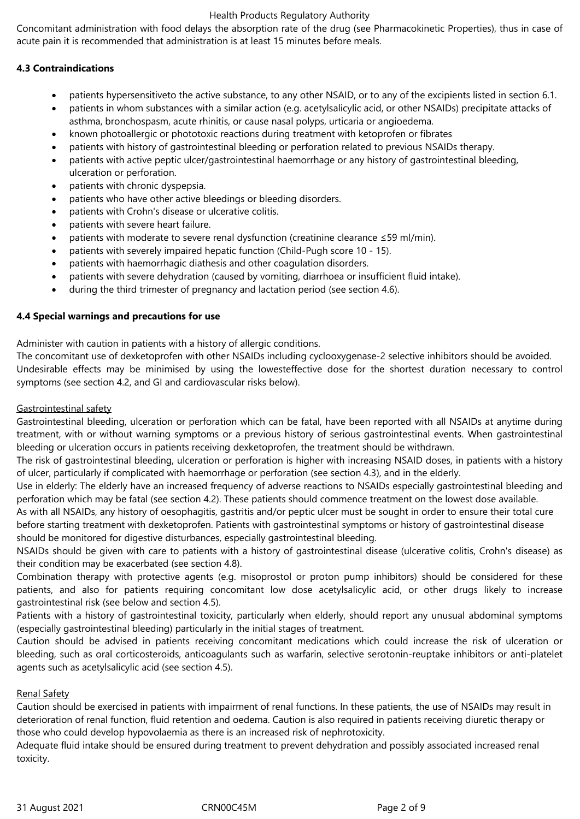Concomitant administration with food delays the absorption rate of the drug (see Pharmacokinetic Properties), thus in case of acute pain it is recommended that administration is at least 15 minutes before meals.

# **4.3 Contraindications**

- patients hypersensitiveto the active substance, to any other NSAID, or to any of the excipients listed in section 6.1.
- patients in whom substances with a similar action (e.g. acetylsalicylic acid, or other NSAIDs) precipitate attacks of asthma, bronchospasm, acute rhinitis, or cause nasal polyps, urticaria or angioedema.
- known photoallergic or phototoxic reactions during treatment with ketoprofen or fibrates
- patients with history of gastrointestinal bleeding or perforation related to previous NSAIDs therapy.
- patients with active peptic ulcer/gastrointestinal haemorrhage or any history of gastrointestinal bleeding, ulceration or perforation.
- patients with chronic dyspepsia.
- patients who have other active bleedings or bleeding disorders.
- patients with Crohn's disease or ulcerative colitis.
- patients with severe heart failure.
- patients with moderate to severe renal dysfunction (creatinine clearance ≤59 ml/min).
- patients with severely impaired hepatic function (Child-Pugh score 10 15).
- patients with haemorrhagic diathesis and other coagulation disorders.
- patients with severe dehydration (caused by vomiting, diarrhoea or insufficient fluid intake).
- during the third trimester of pregnancy and lactation period (see section 4.6).

# **4.4 Special warnings and precautions for use**

Administer with caution in patients with a history of allergic conditions.

The concomitant use of dexketoprofen with other NSAIDs including cyclooxygenase-2 selective inhibitors should be avoided. Undesirable effects may be minimised by using the lowesteffective dose for the shortest duration necessary to control symptoms (see section 4.2, and GI and cardiovascular risks below).

# Gastrointestinal safety

Gastrointestinal bleeding, ulceration or perforation which can be fatal, have been reported with all NSAIDs at anytime during treatment, with or without warning symptoms or a previous history of serious gastrointestinal events. When gastrointestinal bleeding or ulceration occurs in patients receiving dexketoprofen, the treatment should be withdrawn.

The risk of gastrointestinal bleeding, ulceration or perforation is higher with increasing NSAID doses, in patients with a history of ulcer, particularly if complicated with haemorrhage or perforation (see section 4.3), and in the elderly.

Use in elderly: The elderly have an increased frequency of adverse reactions to NSAIDs especially gastrointestinal bleeding and perforation which may be fatal (see section 4.2). These patients should commence treatment on the lowest dose available.

As with all NSAIDs, any history of oesophagitis, gastritis and/or peptic ulcer must be sought in order to ensure their total cure before starting treatment with dexketoprofen. Patients with gastrointestinal symptoms or history of gastrointestinal disease should be monitored for digestive disturbances, especially gastrointestinal bleeding.

NSAIDs should be given with care to patients with a history of gastrointestinal disease (ulcerative colitis, Crohn's disease) as their condition may be exacerbated (see section 4.8).

Combination therapy with protective agents (e.g. misoprostol or proton pump inhibitors) should be considered for these patients, and also for patients requiring concomitant low dose acetylsalicylic acid, or other drugs likely to increase gastrointestinal risk (see below and section 4.5).

Patients with a history of gastrointestinal toxicity, particularly when elderly, should report any unusual abdominal symptoms (especially gastrointestinal bleeding) particularly in the initial stages of treatment.

Caution should be advised in patients receiving concomitant medications which could increase the risk of ulceration or bleeding, such as oral corticosteroids, anticoagulants such as warfarin, selective serotonin-reuptake inhibitors or anti-platelet agents such as acetylsalicylic acid (see section 4.5).

# Renal Safety

Caution should be exercised in patients with impairment of renal functions. In these patients, the use of NSAIDs may result in deterioration of renal function, fluid retention and oedema. Caution is also required in patients receiving diuretic therapy or those who could develop hypovolaemia as there is an increased risk of nephrotoxicity.

Adequate fluid intake should be ensured during treatment to prevent dehydration and possibly associated increased renal toxicity.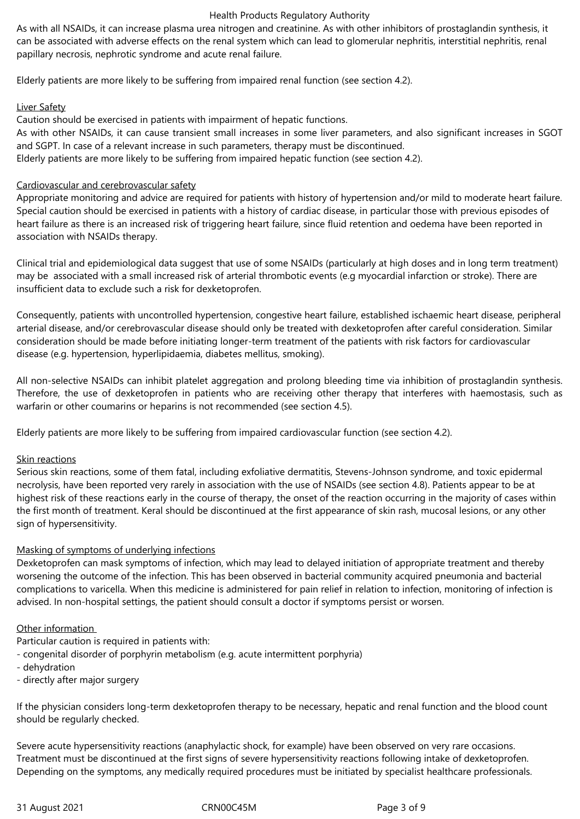As with all NSAIDs, it can increase plasma urea nitrogen and creatinine. As with other inhibitors of prostaglandin synthesis, it can be associated with adverse effects on the renal system which can lead to glomerular nephritis, interstitial nephritis, renal papillary necrosis, nephrotic syndrome and acute renal failure.

Elderly patients are more likely to be suffering from impaired renal function (see section 4.2).

# Liver Safety

Caution should be exercised in patients with impairment of hepatic functions.

As with other NSAIDs, it can cause transient small increases in some liver parameters, and also significant increases in SGOT and SGPT. In case of a relevant increase in such parameters, therapy must be discontinued. Elderly patients are more likely to be suffering from impaired hepatic function (see section 4.2).

# Cardiovascular and cerebrovascular safety

Appropriate monitoring and advice are required for patients with history of hypertension and/or mild to moderate heart failure. Special caution should be exercised in patients with a history of cardiac disease, in particular those with previous episodes of heart failure as there is an increased risk of triggering heart failure, since fluid retention and oedema have been reported in association with NSAIDs therapy.

Clinical trial and epidemiological data suggest that use of some NSAIDs (particularly at high doses and in long term treatment) may be associated with a small increased risk of arterial thrombotic events (e.g myocardial infarction or stroke). There are insufficient data to exclude such a risk for dexketoprofen.

Consequently, patients with uncontrolled hypertension, congestive heart failure, established ischaemic heart disease, peripheral arterial disease, and/or cerebrovascular disease should only be treated with dexketoprofen after careful consideration. Similar consideration should be made before initiating longer-term treatment of the patients with risk factors for cardiovascular disease (e.g. hypertension, hyperlipidaemia, diabetes mellitus, smoking).

All non-selective NSAIDs can inhibit platelet aggregation and prolong bleeding time via inhibition of prostaglandin synthesis. Therefore, the use of dexketoprofen in patients who are receiving other therapy that interferes with haemostasis, such as warfarin or other coumarins or heparins is not recommended (see section 4.5).

Elderly patients are more likely to be suffering from impaired cardiovascular function (see section 4.2).

# Skin reactions

Serious skin reactions, some of them fatal, including exfoliative dermatitis, Stevens-Johnson syndrome, and toxic epidermal necrolysis, have been reported very rarely in association with the use of NSAIDs (see section 4.8). Patients appear to be at highest risk of these reactions early in the course of therapy, the onset of the reaction occurring in the majority of cases within the first month of treatment. Keral should be discontinued at the first appearance of skin rash, mucosal lesions, or any other sign of hypersensitivity.

# Masking of symptoms of underlying infections

Dexketoprofen can mask symptoms of infection, which may lead to delayed initiation of appropriate treatment and thereby worsening the outcome of the infection. This has been observed in bacterial community acquired pneumonia and bacterial complications to varicella. When this medicine is administered for pain relief in relation to infection, monitoring of infection is advised. In non-hospital settings, the patient should consult a doctor if symptoms persist or worsen.

## Other information

Particular caution is required in patients with:

- congenital disorder of porphyrin metabolism (e.g. acute intermittent porphyria)
- dehydration
- directly after major surgery

If the physician considers long-term dexketoprofen therapy to be necessary, hepatic and renal function and the blood count should be regularly checked.

Severe acute hypersensitivity reactions (anaphylactic shock, for example) have been observed on very rare occasions. Treatment must be discontinued at the first signs of severe hypersensitivity reactions following intake of dexketoprofen. Depending on the symptoms, any medically required procedures must be initiated by specialist healthcare professionals.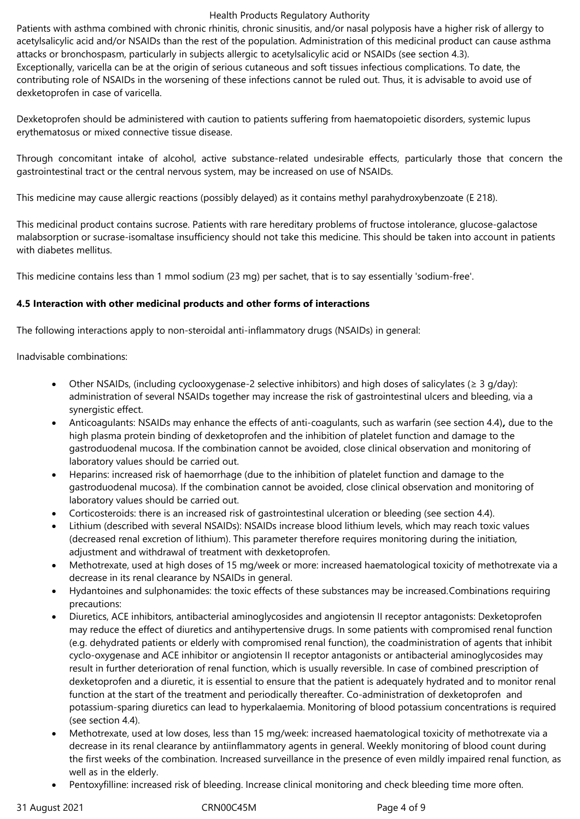Patients with asthma combined with chronic rhinitis, chronic sinusitis, and/or nasal polyposis have a higher risk of allergy to acetylsalicylic acid and/or NSAIDs than the rest of the population. Administration of this medicinal product can cause asthma attacks or bronchospasm, particularly in subjects allergic to acetylsalicylic acid or NSAIDs (see section 4.3). Exceptionally, varicella can be at the origin of serious cutaneous and soft tissues infectious complications. To date, the contributing role of NSAIDs in the worsening of these infections cannot be ruled out. Thus, it is advisable to avoid use of dexketoprofen in case of varicella.

Dexketoprofen should be administered with caution to patients suffering from haematopoietic disorders, systemic lupus erythematosus or mixed connective tissue disease.

Through concomitant intake of alcohol, active substance-related undesirable effects, particularly those that concern the gastrointestinal tract or the central nervous system, may be increased on use of NSAIDs.

This medicine may cause allergic reactions (possibly delayed) as it contains methyl parahydroxybenzoate (E 218).

This medicinal product contains sucrose. Patients with rare hereditary problems of fructose intolerance, glucose-galactose malabsorption or sucrase-isomaltase insufficiency should not take this medicine. This should be taken into account in patients with diabetes mellitus.

This medicine contains less than 1 mmol sodium (23 mg) per sachet, that is to say essentially 'sodium-free'.

# **4.5 Interaction with other medicinal products and other forms of interactions**

The following interactions apply to non-steroidal anti-inflammatory drugs (NSAIDs) in general:

Inadvisable combinations:

- Other NSAIDs, (including cyclooxygenase-2 selective inhibitors) and high doses of salicylates ( $\geq 3$  g/day): administration of several NSAIDs together may increase the risk of gastrointestinal ulcers and bleeding, via a synergistic effect.
- Anticoagulants: NSAIDs may enhance the effects of anti-coagulants, such as warfarin (see section 4.4)*,* due to the high plasma protein binding of dexketoprofen and the inhibition of platelet function and damage to the gastroduodenal mucosa. If the combination cannot be avoided, close clinical observation and monitoring of laboratory values should be carried out.
- Heparins: increased risk of haemorrhage (due to the inhibition of platelet function and damage to the gastroduodenal mucosa). If the combination cannot be avoided, close clinical observation and monitoring of laboratory values should be carried out.
- Corticosteroids: there is an increased risk of gastrointestinal ulceration or bleeding (see section 4.4).
- Lithium (described with several NSAIDs): NSAIDs increase blood lithium levels, which may reach toxic values (decreased renal excretion of lithium). This parameter therefore requires monitoring during the initiation, adjustment and withdrawal of treatment with dexketoprofen.
- Methotrexate, used at high doses of 15 mg/week or more: increased haematological toxicity of methotrexate via a decrease in its renal clearance by NSAIDs in general.
- Hydantoines and sulphonamides: the toxic effects of these substances may be increased.Combinations requiring precautions:
- Diuretics, ACE inhibitors, antibacterial aminoglycosides and angiotensin II receptor antagonists: Dexketoprofen may reduce the effect of diuretics and antihypertensive drugs. In some patients with compromised renal function (e.g. dehydrated patients or elderly with compromised renal function), the coadministration of agents that inhibit cyclo-oxygenase and ACE inhibitor or angiotensin II receptor antagonists or antibacterial aminoglycosides may result in further deterioration of renal function, which is usually reversible. In case of combined prescription of dexketoprofen and a diuretic, it is essential to ensure that the patient is adequately hydrated and to monitor renal function at the start of the treatment and periodically thereafter. Co-administration of dexketoprofen and potassium-sparing diuretics can lead to hyperkalaemia. Monitoring of blood potassium concentrations is required (see section 4.4).
- Methotrexate, used at low doses, less than 15 mg/week: increased haematological toxicity of methotrexate via a decrease in its renal clearance by antiinflammatory agents in general. Weekly monitoring of blood count during the first weeks of the combination. Increased surveillance in the presence of even mildly impaired renal function, as well as in the elderly.
- Pentoxyfilline: increased risk of bleeding. Increase clinical monitoring and check bleeding time more often.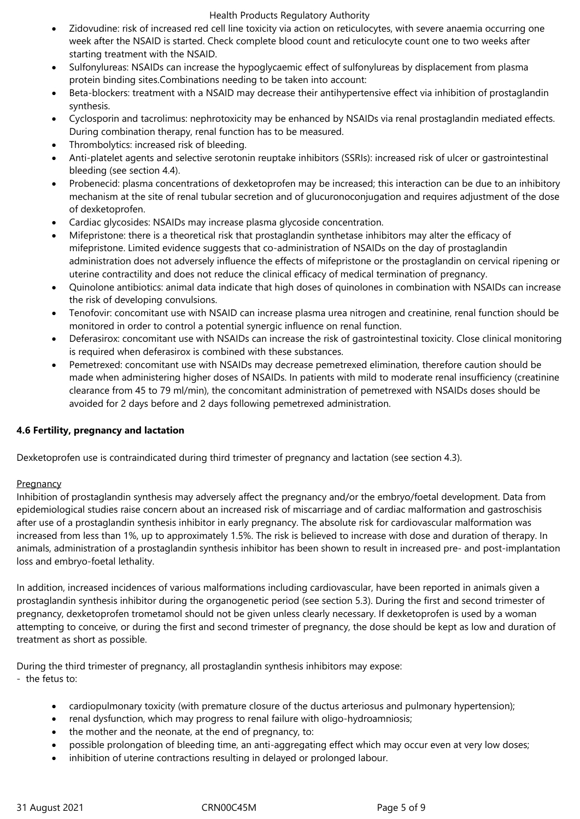- Zidovudine: risk of increased red cell line toxicity via action on reticulocytes, with severe anaemia occurring one week after the NSAID is started. Check complete blood count and reticulocyte count one to two weeks after starting treatment with the NSAID.
- Sulfonylureas: NSAIDs can increase the hypoglycaemic effect of sulfonylureas by displacement from plasma protein binding sites.Combinations needing to be taken into account:
- Beta-blockers: treatment with a NSAID may decrease their antihypertensive effect via inhibition of prostaglandin synthesis.
- Cyclosporin and tacrolimus: nephrotoxicity may be enhanced by NSAIDs via renal prostaglandin mediated effects. During combination therapy, renal function has to be measured.
- Thrombolytics: increased risk of bleeding.
- Anti-platelet agents and selective serotonin reuptake inhibitors (SSRIs): increased risk of ulcer or gastrointestinal bleeding (see section 4.4).
- Probenecid: plasma concentrations of dexketoprofen may be increased; this interaction can be due to an inhibitory mechanism at the site of renal tubular secretion and of glucuronoconjugation and requires adjustment of the dose of dexketoprofen.
- Cardiac glycosides: NSAIDs may increase plasma glycoside concentration.
- Mifepristone: there is a theoretical risk that prostaglandin synthetase inhibitors may alter the efficacy of mifepristone. Limited evidence suggests that co-administration of NSAIDs on the day of prostaglandin administration does not adversely influence the effects of mifepristone or the prostaglandin on cervical ripening or uterine contractility and does not reduce the clinical efficacy of medical termination of pregnancy.
- Quinolone antibiotics: animal data indicate that high doses of quinolones in combination with NSAIDs can increase the risk of developing convulsions.
- Tenofovir: concomitant use with NSAID can increase plasma urea nitrogen and creatinine, renal function should be monitored in order to control a potential synergic influence on renal function.
- Deferasirox: concomitant use with NSAIDs can increase the risk of gastrointestinal toxicity. Close clinical monitoring is required when deferasirox is combined with these substances.
- Pemetrexed: concomitant use with NSAIDs may decrease pemetrexed elimination, therefore caution should be made when administering higher doses of NSAIDs. In patients with mild to moderate renal insufficiency (creatinine clearance from 45 to 79 ml/min), the concomitant administration of pemetrexed with NSAIDs doses should be avoided for 2 days before and 2 days following pemetrexed administration.

# **4.6 Fertility, pregnancy and lactation**

Dexketoprofen use is contraindicated during third trimester of pregnancy and lactation (see section 4.3).

## **Pregnancy**

Inhibition of prostaglandin synthesis may adversely affect the pregnancy and/or the embryo/foetal development. Data from epidemiological studies raise concern about an increased risk of miscarriage and of cardiac malformation and gastroschisis after use of a prostaglandin synthesis inhibitor in early pregnancy. The absolute risk for cardiovascular malformation was increased from less than 1%, up to approximately 1.5%. The risk is believed to increase with dose and duration of therapy. In animals, administration of a prostaglandin synthesis inhibitor has been shown to result in increased pre- and post-implantation loss and embryo-foetal lethality.

In addition, increased incidences of various malformations including cardiovascular, have been reported in animals given a prostaglandin synthesis inhibitor during the organogenetic period (see section 5.3). During the first and second trimester of pregnancy, dexketoprofen trometamol should not be given unless clearly necessary. If dexketoprofen is used by a woman attempting to conceive, or during the first and second trimester of pregnancy, the dose should be kept as low and duration of treatment as short as possible.

During the third trimester of pregnancy, all prostaglandin synthesis inhibitors may expose: - the fetus to:

- cardiopulmonary toxicity (with premature closure of the ductus arteriosus and pulmonary hypertension);
- renal dysfunction, which may progress to renal failure with oligo-hydroamniosis;
- the mother and the neonate, at the end of pregnancy, to:
- possible prolongation of bleeding time, an anti-aggregating effect which may occur even at very low doses;
- inhibition of uterine contractions resulting in delayed or prolonged labour.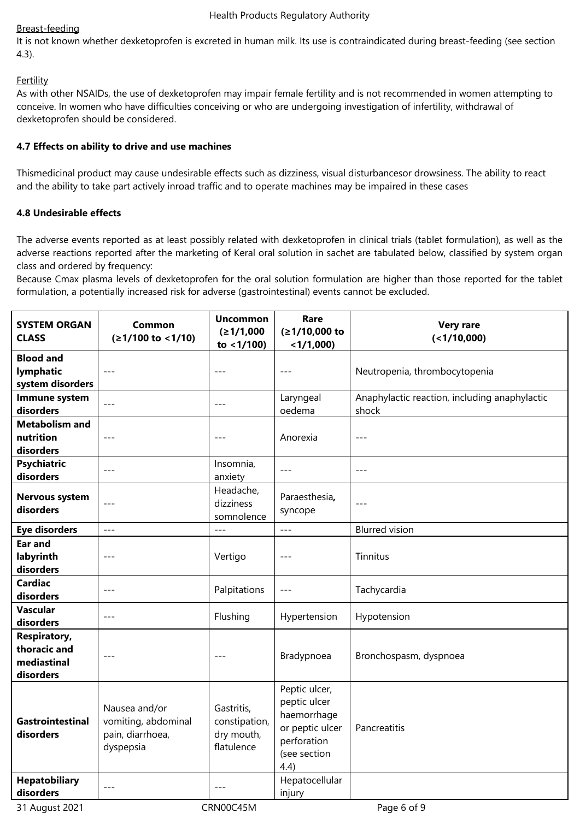# Breast-feeding

It is not known whether dexketoprofen is excreted in human milk. Its use is contraindicated during breast-feeding (see section 4.3).

# **Fertility**

As with other NSAIDs, the use of dexketoprofen may impair female fertility and is not recommended in women attempting to conceive. In women who have difficulties conceiving or who are undergoing investigation of infertility, withdrawal of dexketoprofen should be considered.

# **4.7 Effects on ability to drive and use machines**

Thismedicinal product may cause undesirable effects such as dizziness, visual disturbancesor drowsiness. The ability to react and the ability to take part actively inroad traffic and to operate machines may be impaired in these cases

# **4.8 Undesirable effects**

The adverse events reported as at least possibly related with dexketoprofen in clinical trials (tablet formulation), as well as the adverse reactions reported after the marketing of Keral oral solution in sachet are tabulated below, classified by system organ class and ordered by frequency:

Because Cmax plasma levels of dexketoprofen for the oral solution formulation are higher than those reported for the tablet formulation, a potentially increased risk for adverse (gastrointestinal) events cannot be excluded.

| <b>SYSTEM ORGAN</b><br><b>CLASS</b>                             | Common<br>$(≥1/100$ to <1/10)                                         | <b>Uncommon</b><br>(≥1/1,000                            | Rare<br>(≥1/10,000 to                                                                                  | <b>Very rare</b><br>(<1/10,000)                        |  |
|-----------------------------------------------------------------|-----------------------------------------------------------------------|---------------------------------------------------------|--------------------------------------------------------------------------------------------------------|--------------------------------------------------------|--|
|                                                                 |                                                                       | to $<$ 1/100)                                           | $<$ 1/1,000)                                                                                           |                                                        |  |
| <b>Blood and</b><br>lymphatic                                   | $- - -$                                                               |                                                         |                                                                                                        | Neutropenia, thrombocytopenia                          |  |
| system disorders                                                |                                                                       |                                                         |                                                                                                        |                                                        |  |
| Immune system<br>disorders                                      | $---$                                                                 | $---$                                                   | Laryngeal                                                                                              | Anaphylactic reaction, including anaphylactic<br>shock |  |
| <b>Metabolism and</b>                                           |                                                                       |                                                         | oedema                                                                                                 |                                                        |  |
| nutrition                                                       | $---$                                                                 | $---$                                                   | Anorexia                                                                                               | $---$                                                  |  |
| disorders                                                       |                                                                       |                                                         |                                                                                                        |                                                        |  |
| <b>Psychiatric</b>                                              |                                                                       | Insomnia,                                               |                                                                                                        |                                                        |  |
| disorders                                                       | $---$                                                                 | anxiety                                                 | $---$                                                                                                  | $---$                                                  |  |
| Nervous system<br>disorders                                     | $---$                                                                 | Headache,<br>dizziness<br>somnolence                    | Paraesthesia,<br>syncope                                                                               | $---$                                                  |  |
| <b>Eye disorders</b>                                            | $- - -$                                                               |                                                         | $---$                                                                                                  | <b>Blurred vision</b>                                  |  |
| <b>Ear and</b><br>labyrinth<br>disorders                        | $---$                                                                 | Vertigo                                                 | $---$                                                                                                  | Tinnitus                                               |  |
| <b>Cardiac</b><br>disorders                                     | $---$                                                                 | Palpitations                                            | $---$                                                                                                  | Tachycardia                                            |  |
| <b>Vascular</b><br>disorders                                    | $---$                                                                 | Flushing                                                | Hypertension                                                                                           | Hypotension                                            |  |
| <b>Respiratory,</b><br>thoracic and<br>mediastinal<br>disorders | $---$                                                                 | $---$                                                   | Bradypnoea                                                                                             | Bronchospasm, dyspnoea                                 |  |
| <b>Gastrointestinal</b><br>disorders                            | Nausea and/or<br>vomiting, abdominal<br>pain, diarrhoea,<br>dyspepsia | Gastritis,<br>constipation,<br>dry mouth,<br>flatulence | Peptic ulcer,<br>peptic ulcer<br>haemorrhage<br>or peptic ulcer<br>perforation<br>(see section<br>4.4) | Pancreatitis                                           |  |
| <b>Hepatobiliary</b><br>disorders                               | $---$                                                                 | $---$                                                   | Hepatocellular<br>injury                                                                               |                                                        |  |
| 31 August 2021                                                  | CRN00C45M<br>Page 6 of 9                                              |                                                         |                                                                                                        |                                                        |  |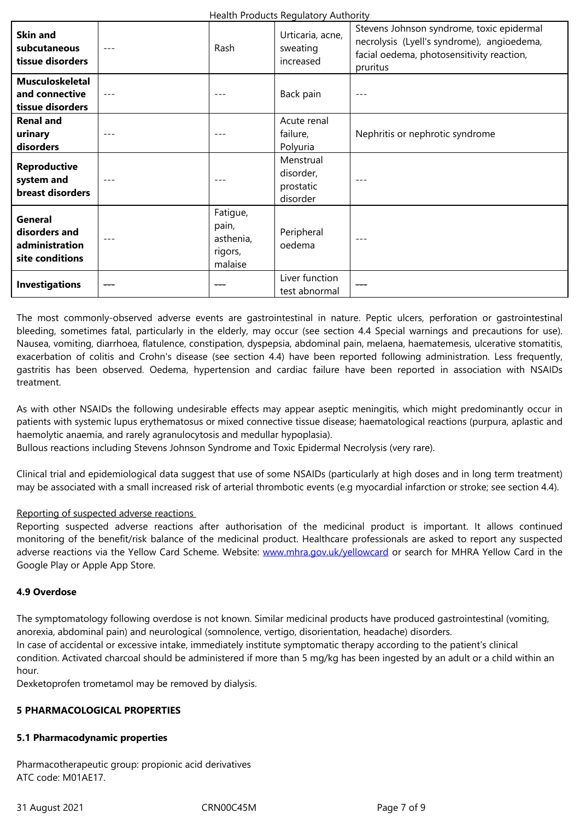| supcutaneous<br>tissue disorders                                     |         | <b>TNASTI</b>                                        | sweathig<br>increased                           | facial oedema, photosensitivity reaction,<br>pruritus |
|----------------------------------------------------------------------|---------|------------------------------------------------------|-------------------------------------------------|-------------------------------------------------------|
| <b>Musculoskeletal</b><br>and connective<br>tissue disorders         | $---$   | $---$                                                | Back pain                                       | $- -$                                                 |
| <b>Renal and</b><br>urinary<br>disorders                             | $---$   | $- -$                                                | Acute renal<br>failure,<br>Polyuria             | Nephritis or nephrotic syndrome                       |
| <b>Reproductive</b><br>system and<br>breast disorders                | $- - -$ |                                                      | Menstrual<br>disorder,<br>prostatic<br>disorder |                                                       |
| <b>General</b><br>disorders and<br>administration<br>site conditions |         | Fatigue,<br>pain,<br>asthenia,<br>rigors,<br>malaise | Peripheral<br>oedema                            | $- - -$                                               |
| <b>Investigations</b>                                                | ---     | ---                                                  | Liver function<br>test abnormal                 |                                                       |

The most commonly-observed adverse events are gastrointestinal in nature. Peptic ulcers, perforation or gastrointestinal bleeding, sometimes fatal, particularly in the elderly, may occur (see section 4.4 Special warnings and precautions for use). Nausea, vomiting, diarrhoea, flatulence, constipation, dyspepsia, abdominal pain, melaena, haematemesis, ulcerative stomatitis, exacerbation of colitis and Crohn's disease (see section 4.4) have been reported following administration. Less frequently, gastritis has been observed. Oedema, hypertension and cardiac failure have been reported in association with NSAIDs treatment.

As with other NSAIDs the following undesirable effects may appear aseptic meningitis, which might predominantly occur in patients with systemic lupus erythematosus or mixed connective tissue disease; haematological reactions (purpura, aplastic and haemolytic anaemia, and rarely agranulocytosis and medullar hypoplasia).

Bullous reactions including Stevens Johnson Syndrome and Toxic Epidermal Necrolysis (very rare).

Clinical trial and epidemiological data suggest that use of some NSAIDs (particularly at high doses and in long term treatment) may be associated with a small increased risk of arterial thrombotic events (e.g myocardial infarction or stroke; see section 4.4).

## Reporting of suspected adverse reactions

Reporting suspected adverse reactions after authorisation of the medicinal product is important. It allows continued monitoring of the benefit/risk balance of the medicinal product. Healthcare professionals are asked to report any suspected adverse reactions via the Yellow Card Scheme. Website: www.mhra.gov.uk/yellowcard or search for MHRA Yellow Card in the Google Play or Apple App Store.

## **4.9 Overdose**

The symptomatology following overdose is not known. Similar medicinal products have produced gastrointestinal (vomiting, anorexia, abdominal pain) and neurological (somnolence, vertigo, disorientation, headache) disorders. In case of accidental or excessive intake, immediately institute symptomatic therapy according to the patient's clinical condition. Activated charcoal should be administered if more than 5 mg/kg has been ingested by an adult or a child within an hour.

Dexketoprofen trometamol may be removed by dialysis.

## **5 PHARMACOLOGICAL PROPERTIES**

## **5.1 Pharmacodynamic properties**

Pharmacotherapeutic group: propionic acid derivatives ATC code: M01AE17.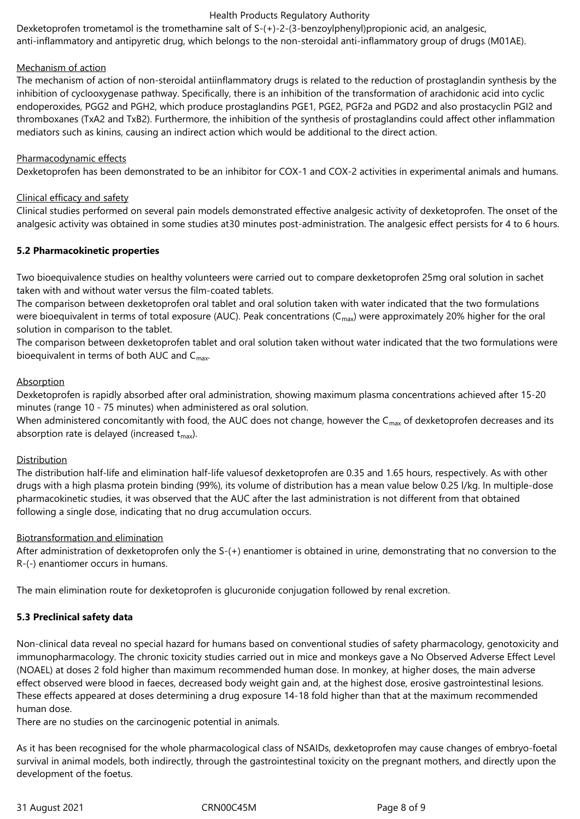Dexketoprofen trometamol is the tromethamine salt of S-(+)-2-(3-benzoylphenyl)propionic acid, an analgesic, anti-inflammatory and antipyretic drug, which belongs to the non-steroidal anti-inflammatory group of drugs (M01AE).

## Mechanism of action

The mechanism of action of non-steroidal antiinflammatory drugs is related to the reduction of prostaglandin synthesis by the inhibition of cyclooxygenase pathway. Specifically, there is an inhibition of the transformation of arachidonic acid into cyclic endoperoxides, PGG2 and PGH2, which produce prostaglandins PGE1, PGE2, PGF2a and PGD2 and also prostacyclin PGI2 and thromboxanes (TxA2 and TxB2). Furthermore, the inhibition of the synthesis of prostaglandins could affect other inflammation mediators such as kinins, causing an indirect action which would be additional to the direct action.

## Pharmacodynamic effects

Dexketoprofen has been demonstrated to be an inhibitor for COX-1 and COX-2 activities in experimental animals and humans.

## Clinical efficacy and safety

Clinical studies performed on several pain models demonstrated effective analgesic activity of dexketoprofen. The onset of the analgesic activity was obtained in some studies at30 minutes post-administration. The analgesic effect persists for 4 to 6 hours.

# **5.2 Pharmacokinetic properties**

Two bioequivalence studies on healthy volunteers were carried out to compare dexketoprofen 25mg oral solution in sachet taken with and without water versus the film-coated tablets.

The comparison between dexketoprofen oral tablet and oral solution taken with water indicated that the two formulations were bioequivalent in terms of total exposure (AUC). Peak concentrations ( $C_{\text{max}}$ ) were approximately 20% higher for the oral solution in comparison to the tablet.

The comparison between dexketoprofen tablet and oral solution taken without water indicated that the two formulations were bioequivalent in terms of both AUC and  $C_{\text{max}}$ .

# Absorption

Dexketoprofen is rapidly absorbed after oral administration, showing maximum plasma concentrations achieved after 15-20 minutes (range 10 - 75 minutes) when administered as oral solution.

When administered concomitantly with food, the AUC does not change, however the  $C_{\text{max}}$  of dexketoprofen decreases and its absorption rate is delayed (increased  $t_{\text{max}}$ ).

## **Distribution**

The distribution half-life and elimination half-life valuesof dexketoprofen are 0.35 and 1.65 hours, respectively. As with other drugs with a high plasma protein binding (99%), its volume of distribution has a mean value below 0.25 l/kg. In multiple-dose pharmacokinetic studies, it was observed that the AUC after the last administration is not different from that obtained following a single dose, indicating that no drug accumulation occurs.

## Biotransformation and elimination

After administration of dexketoprofen only the S-(+) enantiomer is obtained in urine, demonstrating that no conversion to the R-(-) enantiomer occurs in humans.

The main elimination route for dexketoprofen is glucuronide conjugation followed by renal excretion.

# **5.3 Preclinical safety data**

Non-clinical data reveal no special hazard for humans based on conventional studies of safety pharmacology, genotoxicity and immunopharmacology. The chronic toxicity studies carried out in mice and monkeys gave a No Observed Adverse Effect Level (NOAEL) at doses 2 fold higher than maximum recommended human dose. In monkey, at higher doses, the main adverse effect observed were blood in faeces, decreased body weight gain and, at the highest dose, erosive gastrointestinal lesions. These effects appeared at doses determining a drug exposure 14-18 fold higher than that at the maximum recommended human dose.

There are no studies on the carcinogenic potential in animals.

As it has been recognised for the whole pharmacological class of NSAIDs, dexketoprofen may cause changes of embryo-foetal survival in animal models, both indirectly, through the gastrointestinal toxicity on the pregnant mothers, and directly upon the development of the foetus.